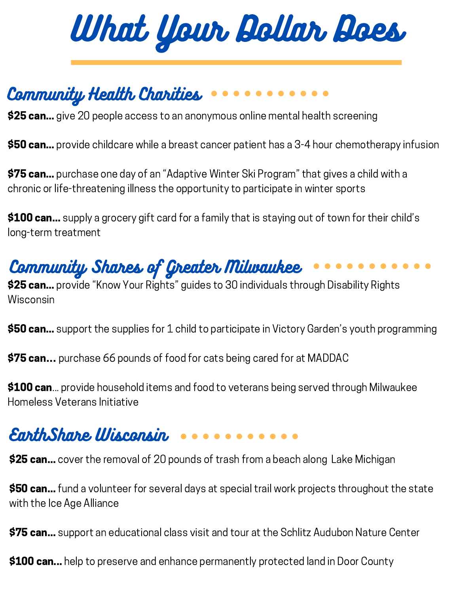# What Your Dollar Does

#### Community Health Charities **..........**

\$25 can... give 20 people access to an anonymous online mental health screening

\$50 can... provide childcare while a breast cancer patient has a 3-4 hour chemotherapy infusion

\$75 can... purchase one day of an "Adaptive Winter Ski Program" that gives a child with a chronic or life-threatening illness the opportunity to participate in winter sports

\$100 can... supply a grocery gift card for a family that is staying out of town for their child's long-term treatment

#### Community Shares of Greater Milwaukee  $0 0 0 0 0 0 0$

\$25 can... provide "Know Your Rights" guides to 30 individuals through Disability Rights Wisconsin

\$50 can... support the supplies for 1 child to participate in Victory Garden's youth programming

\$75 can... purchase 66 pounds of food for cats being cared for at MADDAC

\$100 can... provide household items and food to veterans being served through Milwaukee Homeless Veterans Initiative

### EarthShare Wisconsin

\$25 can... cover the removal of 20 pounds of trash from a beach along Lake Michigan

\$50 can... fund a volunteer for several days at special trail work projects throughout the state with the Ice Age Alliance

\$75 can... support an educational class visit and tour at the Schlitz Audubon Nature Center

\$100 can... help to preserve and enhance permanently protected land in Door County